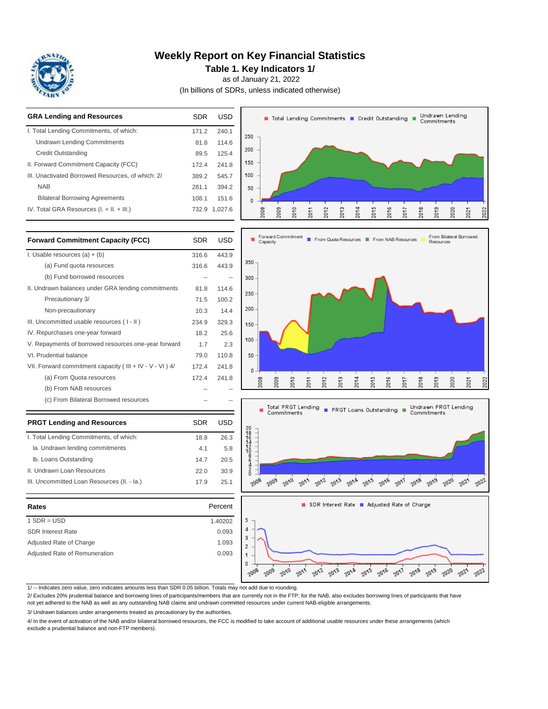

### **Weekly Report on Key Financial Statistics**

**Table 1. Key Indicators 1/**

as of January 21, 2022

(In billions of SDRs, unless indicated otherwise)



1/ -- Indicates zero value, zero indicates amounts less than SDR 0.05 billion. Totals may not add due to rounding.

2/ Excludes 20% prudential balance and borrowing lines of participants/members that are currently not in the FTP; for the NAB, also excludes borrowing lines of participants that have not yet adhered to the NAB as well as any outstanding NAB claims and undrawn committed resources under current NAB-eligible arrangements.

3/ Undrawn balances under arrangements treated as precautionary by the authorities.

4/ In the event of activation of the NAB and/or bilateral borrowed resources, the FCC is modified to take account of additional usable resources under these arrangements (which exclude a prudential balance and non-FTP members).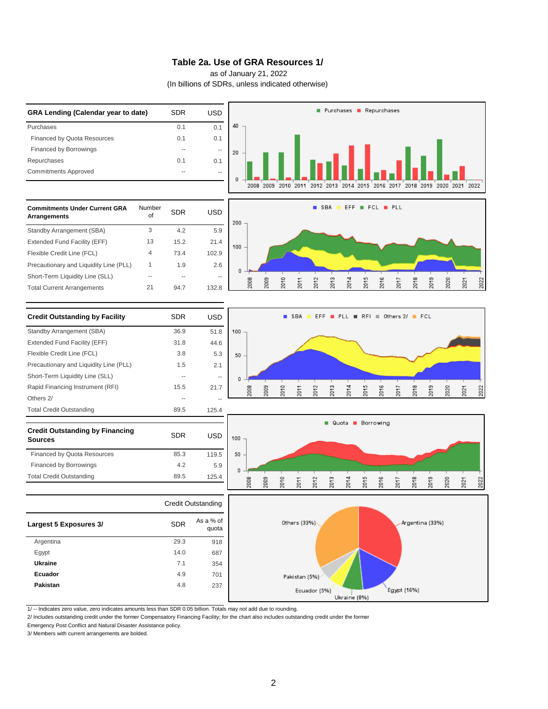#### **Table 2a. Use of GRA Resources 1/**

as of January 21, 2022

(In billions of SDRs, unless indicated otherwise)



1/ -- Indicates zero value, zero indicates amounts less than SDR 0.05 billion. Totals may not add due to rounding.

2/ Includes outstanding credit under the former Compensatory Financing Facility; for the chart also includes outstanding credit under the former

Emergency Post Conflict and Natural Disaster Assistance policy.

3/ Members with current arrangements are bolded.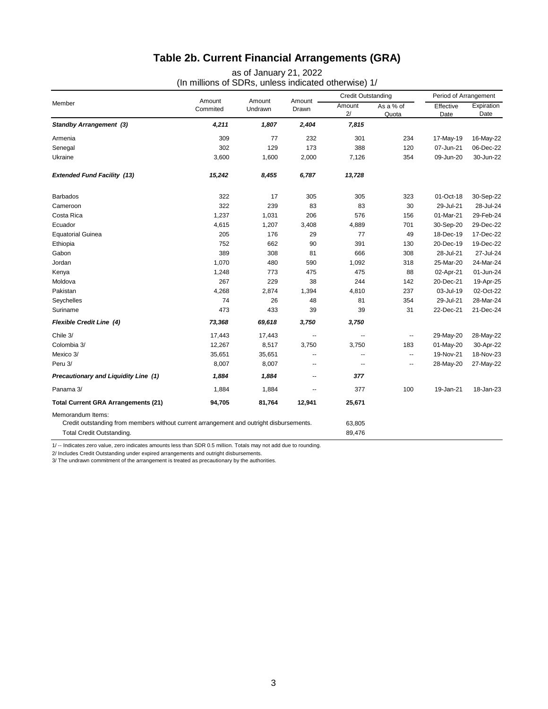## **Table 2b. Current Financial Arrangements (GRA)**

as of January 21, 2022

(In millions of SDRs, unless indicated otherwise) 1/

| Member                                                                                                                                    | Amount<br>Commited | Amount<br>Undrawn | Amount -<br>Drawn | <b>Credit Outstanding</b> |                          | Period of Arrangement |                    |
|-------------------------------------------------------------------------------------------------------------------------------------------|--------------------|-------------------|-------------------|---------------------------|--------------------------|-----------------------|--------------------|
|                                                                                                                                           |                    |                   |                   | Amount<br>2/              | As a % of<br>Quota       | Effective<br>Date     | Expiration<br>Date |
| <b>Standby Arrangement (3)</b>                                                                                                            | 4,211              | 1,807             | 2,404             | 7,815                     |                          |                       |                    |
| Armenia                                                                                                                                   | 309                | 77                | 232               | 301                       | 234                      | 17-May-19             | 16-May-22          |
| Senegal                                                                                                                                   | 302                | 129               | 173               | 388                       | 120                      | 07-Jun-21             | 06-Dec-22          |
| Ukraine                                                                                                                                   | 3,600              | 1,600             | 2,000             | 7,126                     | 354                      | 09-Jun-20             | 30-Jun-22          |
| <b>Extended Fund Facility (13)</b>                                                                                                        | 15,242             | 8,455             | 6,787             | 13,728                    |                          |                       |                    |
| <b>Barbados</b>                                                                                                                           | 322                | 17                | 305               | 305                       | 323                      | 01-Oct-18             | 30-Sep-22          |
| Cameroon                                                                                                                                  | 322                | 239               | 83                | 83                        | 30                       | 29-Jul-21             | 28-Jul-24          |
| Costa Rica                                                                                                                                | 1,237              | 1,031             | 206               | 576                       | 156                      | 01-Mar-21             | 29-Feb-24          |
| Ecuador                                                                                                                                   | 4,615              | 1,207             | 3,408             | 4,889                     | 701                      | 30-Sep-20             | 29-Dec-22          |
| <b>Equatorial Guinea</b>                                                                                                                  | 205                | 176               | 29                | 77                        | 49                       | 18-Dec-19             | 17-Dec-22          |
| Ethiopia                                                                                                                                  | 752                | 662               | 90                | 391                       | 130                      | 20-Dec-19             | 19-Dec-22          |
| Gabon                                                                                                                                     | 389                | 308               | 81                | 666                       | 308                      | 28-Jul-21             | 27-Jul-24          |
| Jordan                                                                                                                                    | 1,070              | 480               | 590               | 1,092                     | 318                      | 25-Mar-20             | 24-Mar-24          |
| Kenya                                                                                                                                     | 1,248              | 773               | 475               | 475                       | 88                       | 02-Apr-21             | 01-Jun-24          |
| Moldova                                                                                                                                   | 267                | 229               | 38                | 244                       | 142                      | 20-Dec-21             | 19-Apr-25          |
| Pakistan                                                                                                                                  | 4,268              | 2,874             | 1,394             | 4,810                     | 237                      | 03-Jul-19             | 02-Oct-22          |
| Seychelles                                                                                                                                | 74                 | 26                | 48                | 81                        | 354                      | 29-Jul-21             | 28-Mar-24          |
| Suriname                                                                                                                                  | 473                | 433               | 39                | 39                        | 31                       | 22-Dec-21             | 21-Dec-24          |
| <b>Flexible Credit Line (4)</b>                                                                                                           | 73,368             | 69,618            | 3,750             | 3,750                     |                          |                       |                    |
| Chile 3/                                                                                                                                  | 17,443             | 17,443            |                   |                           | --                       | 29-May-20             | 28-May-22          |
| Colombia 3/                                                                                                                               | 12,267             | 8,517             | 3,750             | 3,750                     | 183                      | 01-May-20             | 30-Apr-22          |
| Mexico 3/                                                                                                                                 | 35,651             | 35,651            |                   |                           | $\overline{\phantom{a}}$ | 19-Nov-21             | 18-Nov-23          |
| Peru 3/                                                                                                                                   | 8,007              | 8,007             | --                | --                        | --                       | 28-May-20             | 27-May-22          |
| Precautionary and Liquidity Line (1)                                                                                                      | 1,884              | 1,884             | --                | 377                       |                          |                       |                    |
| Panama 3/                                                                                                                                 | 1,884              | 1,884             | --                | 377                       | 100                      | 19-Jan-21             | 18-Jan-23          |
| <b>Total Current GRA Arrangements (21)</b>                                                                                                | 94,705             | 81,764            | 12,941            | 25,671                    |                          |                       |                    |
| Memorandum Items:<br>Credit outstanding from members without current arrangement and outright disbursements.<br>Total Credit Outstanding. |                    |                   |                   |                           |                          |                       |                    |

1/ -- Indicates zero value, zero indicates amounts less than SDR 0.5 million. Totals may not add due to rounding.

2/ Includes Credit Outstanding under expired arrangements and outright disbursements.

3/ The undrawn commitment of the arrangement is treated as precautionary by the authorities.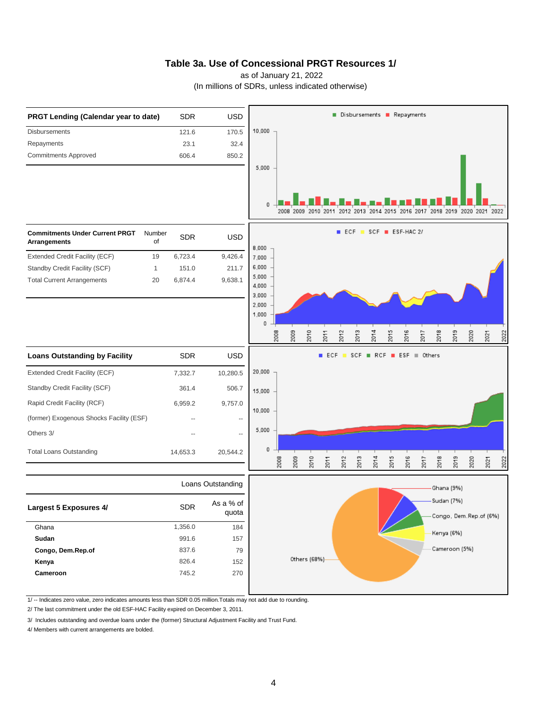### **Table 3a. Use of Concessional PRGT Resources 1/**

as of January 21, 2022

(In millions of SDRs, unless indicated otherwise)



1/ -- Indicates zero value, zero indicates amounts less than SDR 0.05 million.Totals may not add due to rounding.

2/ The last commitment under the old ESF-HAC Facility expired on December 3, 2011.

3/ Includes outstanding and overdue loans under the (former) Structural Adjustment Facility and Trust Fund.

4/ Members with current arrangements are bolded.